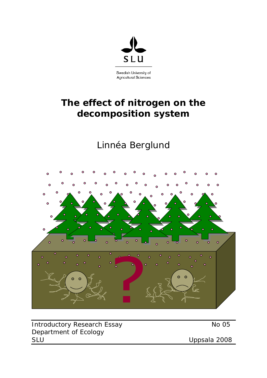

# **The effect of nitrogen on the decomposition system**

# Linnéa Berglund



Introductory Research Essay No 05 Department of Ecology SLU Uppsala 2008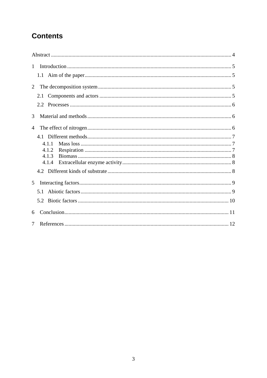# **Contents**

| $\mathbf{1}$   |       |  |
|----------------|-------|--|
|                |       |  |
| $\overline{2}$ |       |  |
|                | 2.1   |  |
|                |       |  |
| 3              |       |  |
| 4              |       |  |
|                |       |  |
|                | 4.1.1 |  |
|                | 4.1.2 |  |
|                | 4.1.3 |  |
|                | 4.1.4 |  |
|                |       |  |
| 5              |       |  |
|                | 5.1   |  |
|                |       |  |
| 6              |       |  |
| 7              |       |  |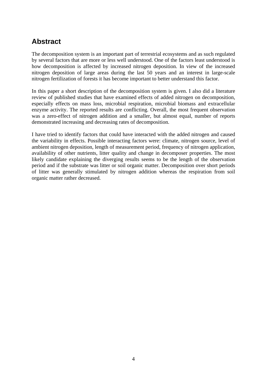# <span id="page-3-0"></span>**Abstract**

The decomposition system is an important part of terrestrial ecosystems and as such regulated by several factors that are more or less well understood. One of the factors least understood is how decomposition is affected by increased nitrogen deposition. In view of the increased nitrogen deposition of large areas during the last 50 years and an interest in large-scale nitrogen fertilization of forests it has become important to better understand this factor.

In this paper a short description of the decomposition system is given. I also did a literature review of published studies that have examined effects of added nitrogen on decomposition, especially effects on mass loss, microbial respiration, microbial biomass and extracellular enzyme activity. The reported results are conflicting. Overall, the most frequent observation was a zero-effect of nitrogen addition and a smaller, but almost equal, number of reports demonstrated increasing and decreasing rates of decomposition.

I have tried to identify factors that could have interacted with the added nitrogen and caused the variability in effects. Possible interacting factors were: climate, nitrogen source, level of ambient nitrogen deposition, length of measurement period, frequency of nitrogen application, availability of other nutrients, litter quality and change in decomposer properties. The most likely candidate explaining the diverging results seems to be the length of the observation period and if the substrate was litter or soil organic matter. Decomposition over short periods of litter was generally stimulated by nitrogen addition whereas the respiration from soil organic matter rather decreased.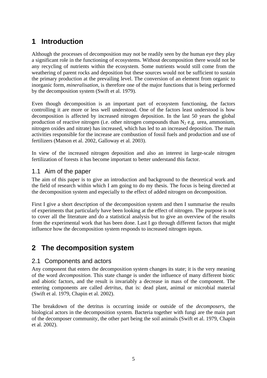# <span id="page-4-0"></span>**1 Introduction**

Although the processes of decomposition may not be readily seen by the human eye they play a significant role in the functioning of ecosystems. Without decomposition there would not be any recycling of nutrients within the ecosystem. Some nutrients would still come from the weathering of parent rocks and deposition but these sources would not be sufficient to sustain the primary production at the prevailing level. The conversion of an element from organic to inorganic form, *mineralisation*, is therefore one of the major functions that is being performed by the decomposition system (Swift et al. 1979).

Even though decomposition is an important part of ecosystem functioning, the factors controlling it are more or less well understood. One of the factors least understood is how decomposition is affected by increased nitrogen deposition. In the last 50 years the global production of reactive nitrogen (i.e. other nitrogen compounds than  $N_2$  e.g. urea, ammonium, nitrogen oxides and nitrate) has increased, which has led to an increased deposition. The main activities responsible for the increase are combustion of fossil fuels and production and use of fertilizers (Matson et al. 2002, Galloway et al. 2003).

In view of the increased nitrogen deposition and also an interest in large-scale nitrogen fertilization of forests it has become important to better understand this factor.

#### 1.1 Aim of the paper

The aim of this paper is to give an introduction and background to the theoretical work and the field of research within which I am going to do my thesis. The focus is being directed at the decomposition system and especially to the effect of added nitrogen on decomposition.

First I give a short description of the decomposition system and then I summarise the results of experiments that particularly have been looking at the effect of nitrogen. The purpose is not to cover all the literature and do a statistical analysis but to give an overview of the results from the experimental work that has been done. Last I go through different factors that might influence how the decomposition system responds to increased nitrogen inputs.

## **2 The decomposition system**

#### 2.1 Components and actors

Any component that enters the decomposition system changes its state; it is the very meaning of the word *decomposition*. This state change is under the influence of many different biotic and abiotic factors, and the result is invariably a decrease in mass of the component. The entering components are called *detritus*, that is: dead plant, animal or microbial material (Swift et al. 1979, Chapin et al. 2002).

The breakdown of the detritus is occurring inside or outside of the *decomposers,* the biological actors in the decomposition system. Bacteria together with fungi are the main part of the decomposer community, the other part being the soil animals (Swift et al. 1979, Chapin et al. 2002).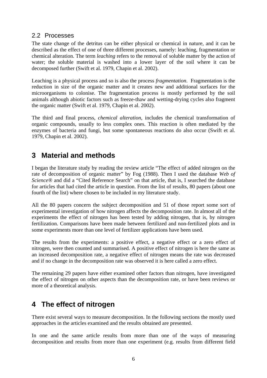#### <span id="page-5-0"></span>2.2 Processes

The state change of the detritus can be either physical or chemical in nature, and it can be described as the effect of one of three different processes, namely: leaching, fragmentation or chemical alteration. The term *leaching* refers to the removal of soluble matter by the action of water; the soluble material is washed into a lower layer of the soil where it can be decomposed further (Swift et al. 1979, Chapin et al. 2002).

Leaching is a physical process and so is also the process *fragmentation*. Fragmentation is the reduction in size of the organic matter and it creates new and additional surfaces for the microorganisms to colonise. The fragmentation process is mostly performed by the soil animals although abiotic factors such as freeze-thaw and wetting-drying cycles also fragment the organic matter (Swift et al. 1979, Chapin et al. 2002).

The third and final process, *chemical alteration*, includes the chemical transformation of organic compounds, usually to less complex ones. This reaction is often mediated by the enzymes of bacteria and fungi, but some spontaneous reactions do also occur (Swift et al. 1979, Chapin et al. 2002).

# **3 Material and methods**

I began the literature study by reading the review article "The effect of added nitrogen on the rate of decomposition of organic matter" by Fog (1988). Then I used the database *Web of Science®* and did a "Cited Reference Search" on that article, that is, I searched the database for articles that had cited the article in question. From the list of results, 80 papers (about one fourth of the list) where chosen to be included in my literature study.

All the 80 papers concern the subject decomposition and 51 of those report some sort of experimental investigation of how nitrogen affects the decomposition rate. In almost all of the experiments the effect of nitrogen has been tested by adding nitrogen, that is, by nitrogen fertilization. Comparisons have been made between fertilized and non-fertilized plots and in some experiments more than one level of fertilizer applications have been used.

The results from the experiments: a positive effect, a negative effect or a zero effect of nitrogen, were then counted and summarised. A positive effect of nitrogen is here the same as an increased decomposition rate, a negative effect of nitrogen means the rate was decreased and if no change in the decomposition rate was observed it is here called a zero effect.

The remaining 29 papers have either examined other factors than nitrogen, have investigated the effect of nitrogen on other aspects than the decomposition rate, or have been reviews or more of a theoretical analysis.

# **4 The effect of nitrogen**

There exist several ways to measure decomposition. In the following sections the mostly used approaches in the articles examined and the results obtained are presented.

In one and the same article results from more than one of the ways of measuring decomposition and results from more than one experiment (e.g. results from different field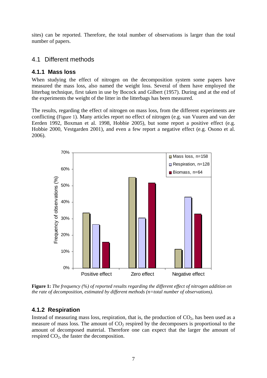<span id="page-6-0"></span>sites) can be reported. Therefore, the total number of observations is larger than the total number of papers.

#### 4.1 Different methods

#### **4.1.1 Mass loss**

When studying the effect of nitrogen on the decomposition system some papers have measured the mass loss, also named the weight loss. Several of them have employed the litterbag technique, first taken in use by Bocock and Gilbert (1957). During and at the end of the experiments the weight of the litter in the litterbags has been measured.

The results, regarding the effect of nitrogen on mass loss, from the different experiments are conflicting [\(Figure 1\)](#page-6-1). Many articles report no effect of nitrogen (e.g. van Vuuren and van der Eerden 1992, Boxman et al. 1998, Hobbie 2005), but some report a positive effect (e.g. Hobbie 2000, Vestgarden 2001), and even a few report a negative effect (e.g. Osono et al. 2006).



<span id="page-6-1"></span>**Figure 1:** *The frequency (%) of reported results regarding the different effect of nitrogen addition on the rate of decomposition, estimated by different methods (n=total number of observations).*

#### **4.1.2 Respiration**

Instead of measuring mass loss, respiration, that is, the production of  $CO<sub>2</sub>$ , has been used as a measure of mass loss. The amount of  $CO<sub>2</sub>$  respired by the decomposers is proportional to the amount of decomposed material. Therefore one can expect that the larger the amount of respired  $CO<sub>2</sub>$ , the faster the decomposition.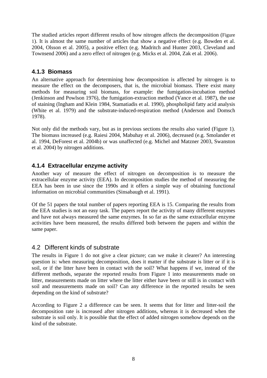<span id="page-7-0"></span>The studied articles report different results of how nitrogen affects the decomposition ([Figure](#page-6-1)  [1](#page-6-1)). It is almost the same number of articles that show a negative effect (e.g. Bowden et al. 2004, Olsson et al. 2005), a positive effect (e.g. Madritch and Hunter 2003, Cleveland and Townsend 2006) and a zero effect of nitrogen (e.g. Micks et al. 2004, Zak et al. 2006).

#### **4.1.3 Biomass**

An alternative approach for determining how decomposition is affected by nitrogen is to measure the effect on the decomposers, that is, the microbial biomass. There exist many methods for measuring soil biomass, for example: the fumigation-incubation method (Jenkinson and Powlson 1976), the fumigation-extraction method (Vance et al. 1987), the use of staining (Ingham and Klein 1984, Stamatiadis et al. 1990), phospholipid fatty acid analysis (White et al. 1979) and the substrate-induced-respiration method (Anderson and Domsch 1978).

Not only did the methods vary, but as in previous sections the results also varied [\(Figure 1\)](#page-6-1). The biomass increased (e.g. Raiesi 2004, Mabuhay et al. 2006), decreased (e.g. Smolander et al. 1994, DeForest et al. 2004b) or was unaffected (e.g. Michel and Matzner 2003, Swanston et al. 2004) by nitrogen additions.

#### **4.1.4 Extracellular enzyme activity**

Another way of measure the effect of nitrogen on decomposition is to measure the extracellular enzyme activity (EEA). In decomposition studies the method of measuring the EEA has been in use since the 1990s and it offers a simple way of obtaining functional information on microbial communities (Sinsabaugh et al. 1991).

Of the 51 papers the total number of papers reporting EEA is 15. Comparing the results from the EEA studies is not an easy task. The papers report the activity of many different enzymes and have not always measured the same enzymes. In so far as the same extracellular enzyme activities have been measured, the results differed both between the papers and within the same paper.

#### 4.2 Different kinds of substrate

The results in [Figure 1](#page-6-1) do not give a clear picture; can we make it clearer? An interesting question is: when measuring decomposition, does it matter if the substrate is litter or if it is soil, or if the litter have been in contact with the soil? What happens if we, instead of the different methods, separate the reported results from [Figure 1](#page-6-1) into measurements made on litter, measurements made on litter where the litter either have been or still is in contact with soil and measurements made on soil? Can any difference in the reported results be seen depending on the kind of substrate?

According to [Figure 2](#page-8-1) a difference can be seen. It seems that for litter and litter-soil the decomposition rate is increased after nitrogen additions, whereas it is decreased when the substrate is soil only. It is possible that the effect of added nitrogen somehow depends on the kind of the substrate.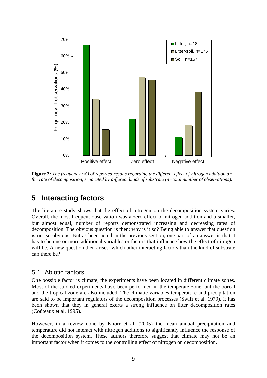<span id="page-8-0"></span>

<span id="page-8-1"></span>**Figure 2:** *The frequency (%) of reported results regarding the different effect of nitrogen addition on the rate of decomposition, separated by different kinds of substrate (n=total number of observations).*

# **5 Interacting factors**

The literature study shows that the effect of nitrogen on the decomposition system varies. Overall, the most frequent observation was a zero-effect of nitrogen addition and a smaller, but almost equal, number of reports demonstrated increasing and decreasing rates of decomposition. The obvious question is then: why is it so? Being able to answer that question is not so obvious. But as been noted in the previous section, one part of an answer is that it has to be one or more additional variables or factors that influence how the effect of nitrogen will be. A new question then arises: which other interacting factors than the kind of substrate can there be?

#### 5.1 Abiotic factors

One possible factor is climate; the experiments have been located in different climate zones. Most of the studied experiments have been performed in the temperate zone, but the boreal and the tropical zone are also included. The climatic variables temperature and precipitation are said to be important regulators of the decomposition processes (Swift et al. 1979), it has been shown that they in general exerts a strong influence on litter decomposition rates (Coûteaux et al. 1995).

However, in a review done by Knorr et al. (2005) the mean annual precipitation and temperature did not interact with nitrogen additions to significantly influence the response of the decomposition system. These authors therefore suggest that climate may not be an important factor when it comes to the controlling effect of nitrogen on decomposition.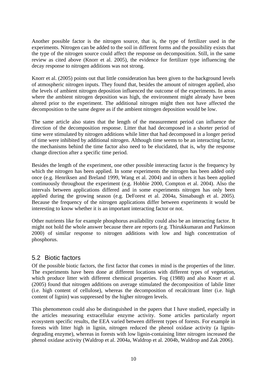<span id="page-9-0"></span>Another possible factor is the nitrogen source, that is, the type of fertilizer used in the experiments. Nitrogen can be added to the soil in different forms and the possibility exists that the type of the nitrogen source could affect the response on decomposition. Still, in the same review as cited above (Knorr et al. 2005), the evidence for fertilizer type influencing the decay response to nitrogen additions was not strong.

Knorr et al. (2005) points out that little consideration has been given to the background levels of atmospheric nitrogen inputs. They found that, besides the amount of nitrogen applied, also the levels of ambient nitrogen deposition influenced the outcome of the experiments. In areas where the ambient nitrogen deposition was high, the environment might already have been altered prior to the experiment. The additional nitrogen might then not have affected the decomposition to the same degree as if the ambient nitrogen deposition would be low.

The same article also states that the length of the measurement period can influence the direction of the decomposition response. Litter that had decomposed in a shorter period of time were stimulated by nitrogen additions while litter that had decomposed in a longer period of time were inhibited by additional nitrogen. Although time seems to be an interacting factor, the mechanisms behind the time factor also need to be elucidated, that is, why the response change direction after a specific time period.

Besides the length of the experiment, one other possible interacting factor is the frequency by which the nitrogen has been applied. In some experiments the nitrogen has been added only once (e.g. Henriksen and Breland 1999, Wang et al. 2004) and in others it has been applied continuously throughout the experiment (e.g. Hobbie 2000, Compton et al. 2004). Also the intervals between applications differed and in some experiments nitrogen has only been applied during the growing season (e.g. DeForest et al. 2004a, Sinsabaugh et al. 2005). Because the frequency of the nitrogen applications differ between experiments it would be interesting to know whether it is an important interacting factor or not.

Other nutrients like for example phosphorus availability could also be an interacting factor. It might not hold the whole answer because there are reports (e.g. Thirukkumaran and Parkinson 2000) of similar response to nitrogen additions with low and high concentration of phosphorus.

#### 5.2 Biotic factors

Of the possible biotic factors, the first factor that comes in mind is the properties of the litter. The experiments have been done at different locations with different types of vegetation, which produce litter with different chemical properties. Fog (1988) and also Knorr et al. (2005) found that nitrogen additions on average stimulated the decomposition of labile litter (i.e. high content of cellulose), whereas the decomposition of recalcitrant litter (i.e. high content of lignin) was suppressed by the higher nitrogen levels.

This phenomenon could also be distinguished in the papers that I have studied, especially in the articles measuring extracellular enzyme activity. Some articles particularly report ecosystem specific results, the EEA varied between different types of forests. For example in forests with litter high in lignin, nitrogen reduced the phenol oxidase activity (a lignindegrading enzyme), whereas in forests with low lignin-containing litter nitrogen increased the phenol oxidase activity (Waldrop et al. 2004a, Waldrop et al. 2004b, Waldrop and Zak 2006).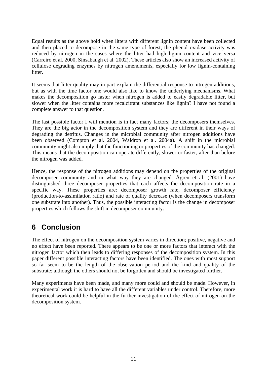<span id="page-10-0"></span>Equal results as the above hold when litters with different lignin content have been collected and then placed to decompose in the same type of forest; the phenol oxidase activity was reduced by nitrogen in the cases where the litter had high lignin content and vice versa (Carreiro et al. 2000, Sinsabaugh et al. 2002). These articles also show an increased activity of cellulose degrading enzymes by nitrogen amendments, especially for low lignin-containing litter.

It seems that litter quality may in part explain the differential response to nitrogen additions, but as with the time factor one would also like to know the underlying mechanisms. What makes the decomposition go faster when nitrogen is added to easily degradable litter, but slower when the litter contains more recalcitrant substances like lignin? I have not found a complete answer to that question.

The last possible factor I will mention is in fact many factors; the decomposers themselves. They are the big actor in the decomposition system and they are different in their ways of degrading the detritus. Changes in the microbial community after nitrogen additions have been observed (Compton et al. 2004, Waldrop et al. 2004a). A shift in the microbial community might also imply that the functioning or properties of the community has changed. This means that the decomposition can operate differently, slower or faster, after than before the nitrogen was added.

Hence, the response of the nitrogen additions may depend on the properties of the original decomposer community and in what way they are changed. Ågren et al. (2001) have distinguished three decomposer properties that each affects the decomposition rate in a specific way. These properties are: decomposer growth rate, decomposer efficiency (production-to-assimilation ratio) and rate of quality decrease (when decomposers transform one substrate into another). Thus, the possible interacting factor is the change in decomposer properties which follows the shift in decomposer community.

# **6 Conclusion**

The effect of nitrogen on the decomposition system varies in direction; positive, negative and no effect have been reported. There appears to be one or more factors that interact with the nitrogen factor which then leads to differing responses of the decomposition system. In this paper different possible interacting factors have been identified. The ones with most support so far seem to be the length of the observation period and the kind and quality of the substrate; although the others should not be forgotten and should be investigated further.

Many experiments have been made, and many more could and should be made. However, in experimental work it is hard to have all the different variables under control. Therefore, more theoretical work could be helpful in the further investigation of the effect of nitrogen on the decomposition system.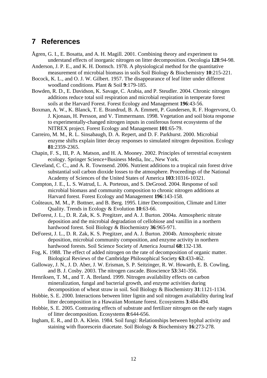### <span id="page-11-0"></span>**7 References**

- Ågren, G. I., E. Bosatta, and A. H. Magill. 2001. Combining theory and experiment to understand effects of inorganic nitrogen on litter decomposition. Oecologia **128**:94-98.
- Anderson, J. P. E., and K. H. Domsch. 1978. A physiological method for the quantitative measurement of microbial biomass in soils Soil Biology & Biochemistry **10**:215-221.
- Bocock, K. L., and O. J. W. Gilbert. 1957. The disappearance of leaf litter under different woodland conditions. Plant & Soil **9**:179-185.
- Bowden, R. D., E. Davidson, K. Savage, C. Arabia, and P. Steudler. 2004. Chronic nitrogen additions reduce total soil respiration and microbial respiration in temperate forest soils at the Harvard Forest. Forest Ecology and Management **196**:43-56.
- Boxman, A. W., K. Blanck, T. E. Brandrud, B. A. Emmett, P. Gundersen, R. F. Hogervorst, O. J. Kjonaas, H. Persson, and V. Timmermann. 1998. Vegetation and soil biota response to experimentally-changed nitrogen inputs in coniferous forest ecosystems of the NITREX project. Forest Ecology and Management **101**:65-79.
- Carreiro, M. M., R. L. Sinsabaugh, D. A. Repert, and D. F. Parkhurst. 2000. Microbial enzyme shifts explain litter decay responses to simulated nitrogen deposition. Ecology **81**:2359-2365.
- Chapin, F. S., III, P. A. Matson, and H. A. Mooney. 2002. Principles of terrestrial ecosystem ecology. Springer Science+Business Media, Inc., New York.
- Cleveland, C. C., and A. R. Townsend. 2006. Nutrient additions to a tropical rain forest drive substantial soil carbon dioxide losses to the atmosphere. Proceedings of the National Academy of Sciences of the United States of America **103**:10316-10321.
- Compton, J. E., L. S. Watrud, L. A. Porteous, and S. DeGrood. 2004. Response of soil microbial biomass and community composition to chronic nitrogen additions at Harvard forest. Forest Ecology and Management **196**:143-158.
- Coûteaux, M. M., P. Bottner, and B. Berg. 1995. Litter Decomposition, Climate and Litter Quality. Trends in Ecology & Evolution **10**:63-66.
- DeForest, J. L., D. R. Zak, K. S. Pregitzer, and A. J. Burton. 2004a. Atmospheric nitrate deposition and the microbial degradation of cellobiose and vanillin in a northern hardwood forest. Soil Biology & Biochemistry **36**:965-971.
- DeForest, J. L., D. R. Zak, K. S. Pregitzer, and A. J. Burton. 2004b. Atmospheric nitrate deposition, microbial community composition, and enzyme activity in northern hardwood forests. Soil Science Society of America Journal **68**:132-138.
- Fog, K. 1988. The effect of added nitrogen on the rate of decomposition of organic matter. Biological Reviews of the Cambridge Philosophical Society **63**:433-462.
- Galloway, J. N., J. D. Aber, J. W. Erisman, S. P. Seitzinger, R. W. Howarth, E. B. Cowling, and B. J. Cosby. 2003. The nitrogen cascade. Bioscience **53**:341-356.
- Henriksen, T. M., and T. A. Breland. 1999. Nitrogen availability effects on carbon mineralization, fungal and bacterial growth, and enzyme activities during decomposition of wheat straw in soil. Soil Biology & Biochemistry **31**:1121-1134.
- Hobbie, S. E. 2000. Interactions between litter lignin and soil nitrogen availability during leaf litter decomposition in a Hawaiian Montane forest. Ecosystems **3**:484-494.
- Hobbie, S. E. 2005. Contrasting effects of substrate and fertilizer nitrogen on the early stages of litter decomposition. Ecosystems **8**:644-656.
- Ingham, E. R., and D. A. Klein. 1984. Soil fungi: Relationships between hyphal activity and staining with fluorescein diacetate. Soil Biology & Biochemistry **16**:273-278.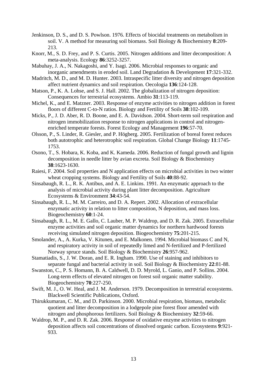- Jenkinson, D. S., and D. S. Powlson. 1976. Effects of biocidal treatments on metabolism in soil. V. A method for measuring soil biomass. Soil Biology & Biochemistry **8**:209- 213.
- Knorr, M., S. D. Frey, and P. S. Curtis. 2005. Nitrogen additions and litter decomposition: A meta-analysis. Ecology **86**:3252-3257.
- Mabuhay, J. A., N. Nakagoshi, and Y. Isagi. 2006. Microbial responses to organic and inorganic amendments in eroded soil. Land Degradation & Development **17**:321-332.
- Madritch, M. D., and M. D. Hunter. 2003. Intraspecific litter diversity and nitrogen deposition affect nutrient dynamics and soil respiration. Oecologia **136**:124-128.
- Matson, P., K. A. Lohse, and S. J. Hall. 2002. The globalization of nitrogen deposition: Consequences for terrestrial ecosystems. Ambio **31**:113-119.
- Michel, K., and E. Matzner. 2003. Response of enzyme activities to nitrogen addition in forest floors of different C-to-N ratios. Biology and Fertility of Soils **38**:102-109.
- Micks, P., J. D. Aber, R. D. Boone, and E. A. Davidson. 2004. Short-term soil respiration and nitrogen immobilization response to nitrogen applications in control and nitrogenenriched temperate forests. Forest Ecology and Management **196**:57-70.
- Olsson, P., S. Linder, R. Giesler, and P. Högberg. 2005. Fertilization of boreal forest reduces both autotrophic and heterotrophic soil respiration. Global Change Biology **11**:1745- 1753.
- Osono, T., S. Hobara, K. Koba, and K. Kameda. 2006. Reduction of fungal growth and lignin decomposition in needle litter by avian excreta. Soil Biology & Biochemistry **38**:1623-1630.
- Raiesi, F. 2004. Soil properties and N application effects on microbial activities in two winter wheat cropping systems. Biology and Fertility of Soils **40**:88-92.
- Sinsabaugh, R. L., R. K. Antibus, and A. E. Linkins. 1991. An enzymatic approach to the analysis of microbial activity during plant litter decomposition. Agriculture Ecosystems & Environment **34**:43-54.
- Sinsabaugh, R. L., M. M. Carreiro, and D. A. Repert. 2002. Allocation of extracellular enzymatic activity in relation to litter composition, N deposition, and mass loss. Biogeochemistry **60**:1-24.
- Sinsabaugh, R. L., M. E. Gallo, C. Lauber, M. P. Waldrop, and D. R. Zak. 2005. Extracellular enzyme activities and soil organic matter dynamics for northern hardwood forests receiving simulated nitrogen deposition. Biogeochemistry **75**:201-215.
- Smolander, A., A. Kurka, V. Kitunen, and E. Malkonen. 1994. Microbial biomass C and N, and respiratory activity in soil of repeatedly limed and N-fertilized and P-fertilized Norway spruce stands. Soil Biology & Biochemistry **26**:957-962.
- Stamatiadis, S., J. W. Doran, and E. R. Ingham. 1990. Use of staining and inhibitors to separate fungal and bacterial activity in soil. Soil Biology & Biochemistry **22**:81-88.
- Swanston, C., P. S. Homann, B. A. Caldwell, D. D. Myrold, L. Ganio, and P. Sollins. 2004. Long-term effects of elevated nitrogen on forest soil organic matter stability. Biogeochemistry **70**:227-250.
- Swift, M. J., O. W. Heal, and J. M. Anderson. 1979. Decomposition in terrestrial ecosystems. Blackwell Scientific Publications, Oxford.
- Thirukkumaran, C. M., and D. Parkinson. 2000. Microbial respiration, biomass, metabolic quotient and litter decomposition in a lodgepole pine forest floor amended with nitrogen and phosphorous fertilizers. Soil Biology & Biochemistry **32**:59-66.
- Waldrop, M. P., and D. R. Zak. 2006. Response of oxidative enzyme activities to nitrogen deposition affects soil concentrations of dissolved organic carbon. Ecosystems **9**:921- 933.